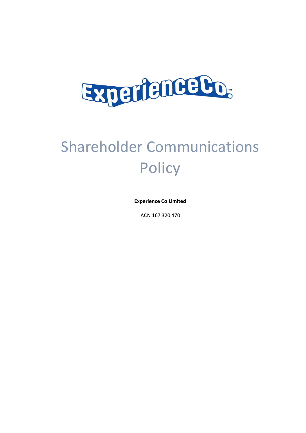

# Shareholder Communications **Policy**

**Experience Co Limited**

ACN 167 320 470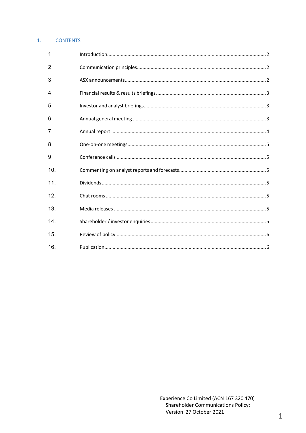# 1. CONTENTS

| 1.  |  |
|-----|--|
| 2.  |  |
| 3.  |  |
| 4.  |  |
| 5.  |  |
| 6.  |  |
| 7.  |  |
| 8.  |  |
| 9.  |  |
| 10. |  |
| 11. |  |
| 12. |  |
| 13. |  |
| 14. |  |
| 15. |  |
| 16. |  |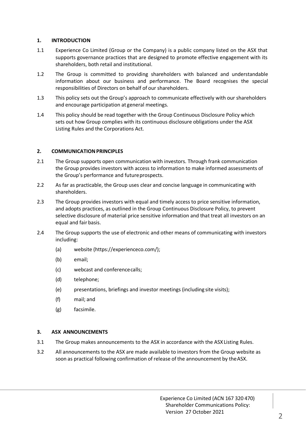# **1. INTRODUCTION**

- 1.1 Experience Co Limited (Group or the Company) is a public company listed on the ASX that supports governance practices that are designed to promote effective engagement with its shareholders, both retail and institutional.
- 1.2 The Group is committed to providing shareholders with balanced and understandable information about our business and performance. The Board recognises the special responsibilities of Directors on behalf of our shareholders.
- 1.3 This policy sets out the Group's approach to communicate effectively with our shareholders and encourage participation at general meetings.
- 1.4 This policy should be read together with the Group Continuous Disclosure Policy which sets out how Group complies with its continuous disclosure obligations under the ASX Listing Rules and the Corporations Act.

## **2. COMMUNICATION PRINCIPLES**

- 2.1 The Group supports open communication with investors. Through frank communication the Group provides investors with access to information to make informed assessments of the Group's performance and future prospects.
- 2.2 As far as practicable, the Group uses clear and concise language in communicating with shareholders.
- 2.3 The Group provides investors with equal and timely access to price sensitive information, and adopts practices, as outlined in the Group Continuous Disclosure Policy, to prevent selective disclosure of material price sensitive information and that treat all investors on an equal and fair basis.
- 2.4 The Group supports the use of electronic and other means of communicating with investors including:
	- (a) website (https://experienceco.com/);
	- (b) email;
	- (c) webcast and conferencecalls;
	- (d) telephone;
	- (e) presentations, briefings and investor meetings (including site visits);
	- (f) mail; and
	- (g) facsimile.

#### **3. ASX ANNOUNCEMENTS**

- 3.1 The Group makes announcements to the ASX in accordance with the ASX Listing Rules.
- 3.2 All announcements to the ASX are made available to investors from the Group website as soon as practical following confirmation of release of the announcement by theASX.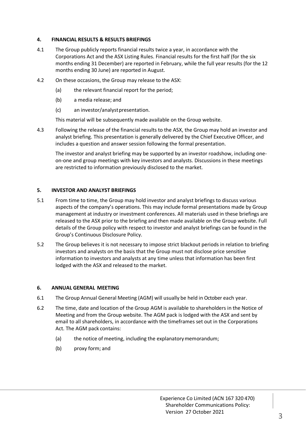## **4. FINANCIAL RESULTS & RESULTS BRIEFINGS**

- 4.1 The Group publicly reports financial results twice a year, in accordance with the Corporations Act and the ASX Listing Rules. Financial results for the first half (for the six months ending 31 December) are reported in February, while the full year results (for the 12 months ending 30 June) are reported in August.
- 4.2 On these occasions, the Group may release to the ASX:
	- (a) the relevant financial report for the period;
	- (b) a media release; and
	- (c) an investor/analyst presentation.

This material will be subsequently made available on the Group website.

4.3 Following the release of the financial results to the ASX, the Group may hold an investor and analyst briefing. This presentation is generally delivered by the Chief Executive Officer, and includes a question and answer session following the formal presentation.

The investor and analyst briefing may be supported by an investor roadshow, including oneon-one and group meetings with key investors and analysts. Discussions in these meetings are restricted to information previously disclosed to the market.

## **5. INVESTOR AND ANALYST BRIEFINGS**

- 5.1 From time to time, the Group may hold investor and analyst briefings to discuss various aspects of the company's operations. This may include formal presentations made by Group management at industry or investment conferences. All materials used in these briefings are released to the ASX prior to the briefing and then made available on the Group website. Full details of the Group policy with respect to investor and analyst briefings can be found in the Group's Continuous Disclosure Policy.
- 5.2 The Group believes it is not necessary to impose strict blackout periods in relation to briefing investors and analysts on the basis that the Group must not disclose price sensitive information to investors and analysts at any time unless that information has been first lodged with the ASX and released to the market.

#### **6. ANNUAL GENERAL MEETING**

- 6.1 The Group Annual General Meeting (AGM) will usually be held in October each year.
- 6.2 The time, date and location of the Group AGM is available to shareholders in the Notice of Meeting and from the Group website. The AGM pack is lodged with the ASX and sent by email to all shareholders, in accordance with the timeframes set out in the Corporations Act. The AGM pack contains:
	- (a) the notice of meeting, including the explanatory memorandum;
	- (b) proxy form; and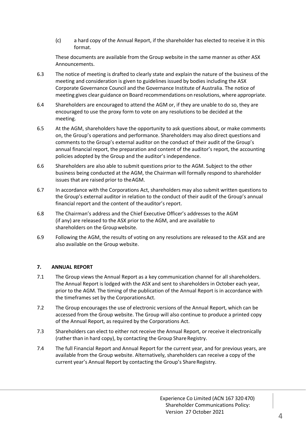(c) a hard copy of the Annual Report, if the shareholder has elected to receive it in this format.

These documents are available from the Group website in the same manner as other ASX Announcements.

- 6.3 The notice of meeting is drafted to clearly state and explain the nature of the business of the meeting and consideration is given to guidelines issued by bodies including the ASX Corporate Governance Council and the Governance Institute of Australia. The notice of meeting gives clear guidance on Board recommendations on resolutions, where appropriate.
- 6.4 Shareholders are encouraged to attend the AGM or, if they are unable to do so, they are encouraged to use the proxy form to vote on any resolutions to be decided at the meeting.
- 6.5 At the AGM, shareholders have the opportunity to ask questions about, or make comments on, the Group's operations and performance. Shareholders may also direct questions and comments to the Group's external auditor on the conduct of their audit of the Group's annual financial report, the preparation and content of the auditor's report, the accounting policies adopted by the Group and the auditor's independence.
- 6.6 Shareholders are also able to submit questions prior to the AGM. Subject to the other business being conducted at the AGM, the Chairman will formally respond to shareholder issues that are raised prior to theAGM.
- 6.7 In accordance with the Corporations Act, shareholders may also submit written questions to the Group's external auditor in relation to the conduct of their audit of the Group's annual financial report and the content of theauditor's report.
- 6.8 The Chairman's address and the Chief Executive Officer's addresses to the AGM (if any) are released to the ASX prior to the AGM, and are available to shareholders on the Groupwebsite.
- 6.9 Following the AGM, the results of voting on any resolutions are released to the ASX and are also available on the Group website.

# **7. ANNUAL REPORT**

- 7.1 The Group views the Annual Report as a key communication channel for all shareholders. The Annual Report is lodged with the ASX and sent to shareholders in October each year, prior to the AGM. The timing of the publication of the Annual Report is in accordance with the timeframes set by the CorporationsAct.
- 7.2 The Group encourages the use of electronic versions of the Annual Report, which can be accessed from the Group website. The Group will also continue to produce a printed copy of the Annual Report, as required by the Corporations Act.
- 7.3 Shareholders can elect to either not receive the Annual Report, or receive it electronically (rather than in hard copy), by contacting the Group Share Registry.
- 7.4 The full Financial Report and Annual Report for the current year, and for previous years, are available from the Group website. Alternatively, shareholders can receive a copy of the current year's Annual Report by contacting the Group's Share Registry.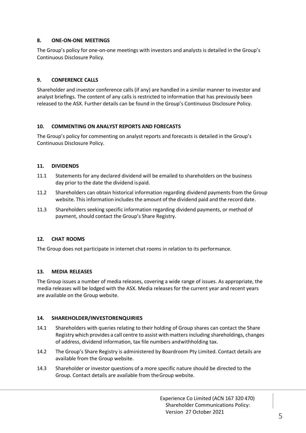# **8. ONE-ON-ONE MEETINGS**

The Group's policy for one-on-one meetings with investors and analysts is detailed in the Group's Continuous Disclosure Policy.

# **9. CONFERENCE CALLS**

Shareholder and investor conference calls (if any) are handled in a similar manner to investor and analyst briefings. The content of any calls is restricted to information that has previously been released to the ASX. Further details can be found in the Group's Continuous Disclosure Policy.

## **10. COMMENTING ON ANALYST REPORTS AND FORECASTS**

The Group's policy for commenting on analyst reports and forecasts is detailed in the Group's Continuous Disclosure Policy.

## **11. DIVIDENDS**

- 11.1 Statements for any declared dividend will be emailed to shareholders on the business day prior to the date the dividend ispaid.
- 11.2 Shareholders can obtain historical information regarding dividend payments from the Group website. This information includes the amount of the dividend paid and the record date.
- 11.3 Shareholders seeking specific information regarding dividend payments, or method of payment, should contact the Group's Share Registry.

# **12. CHAT ROOMS**

The Group does not participate in internet chat rooms in relation to its performance.

#### **13. MEDIA RELEASES**

The Group issues a number of media releases, covering a wide range of issues. As appropriate, the media releases will be lodged with the ASX. Media releases for the current year and recent years are available on the Group website.

#### **14. SHAREHOLDER/INVESTORENQUIRIES**

- 14.1 Shareholders with queries relating to their holding of Group shares can contact the Share Registry which provides a call centre to assist withmatters including shareholdings, changes of address, dividend information, tax file numbers andwithholding tax.
- 14.2 The Group's Share Registry is administered by Boardroom Pty Limited. Contact details are available from the Group website.
- 14.3 Shareholder or investor questions of a more specific nature should be directed to the Group. Contact details are available from theGroup website.